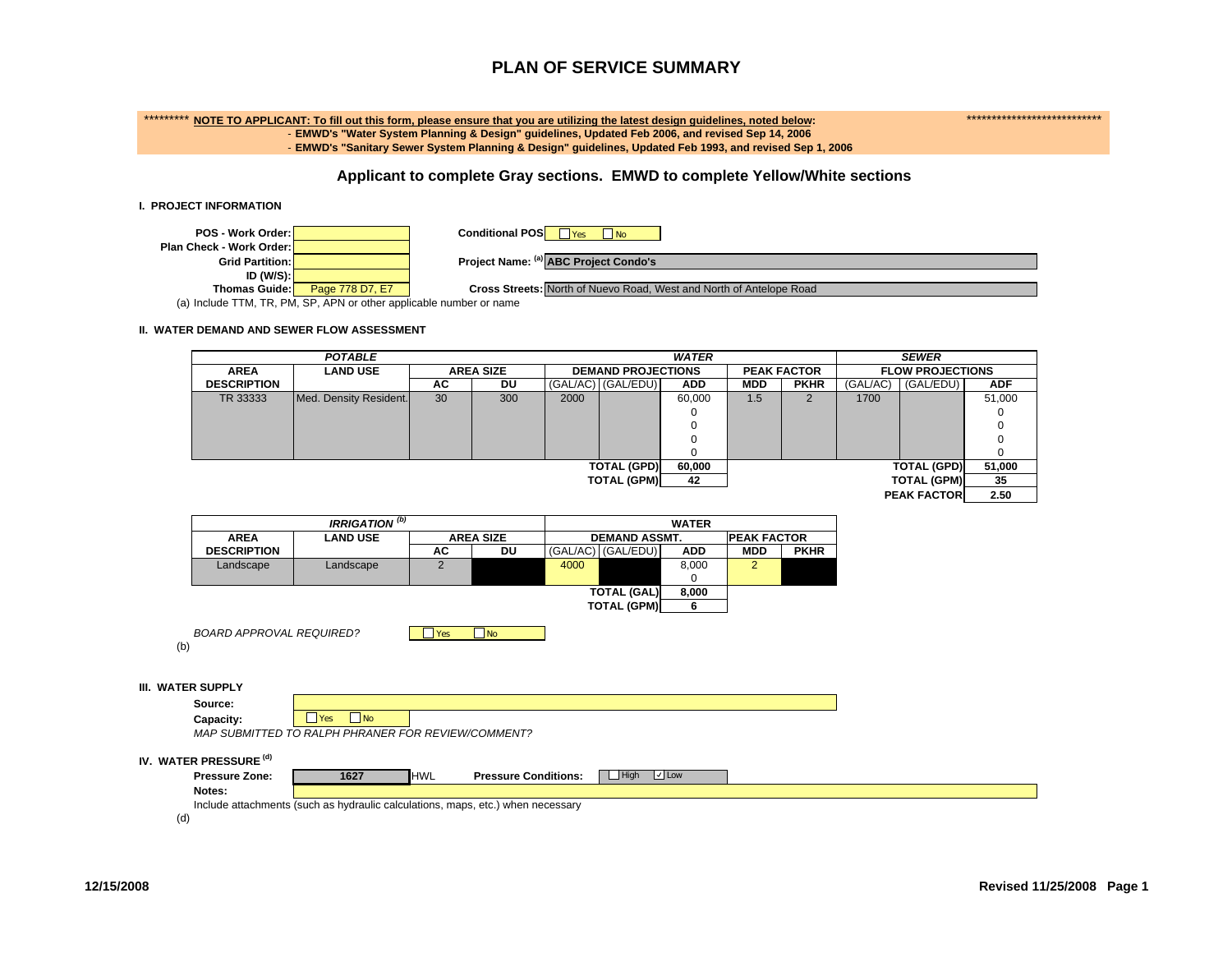## \*\*\*\*\*\*\*\*\* **NOTE TO APPLICANT: To fill out this form, please ensure that you are utilizing the latest design guidelines, noted below:** \*\*\*\*\*\*\*\*\*\*\*\*\*\*\*\*\*\*\*\*\*\*\*\*\*\*\* - **EMWD's "Water System Planning & Design" guidelines, Updated Feb 2006, and revised Sep 14, 2006** - **EMWD's "Sanitary Sewer System Planning & Design" guidelines, Updated Feb 1993, and revised Sep 1, 2006**

## **Applicant to complete Gray sections. EMWD to complete Yellow/White sections**

#### **I. PROJECT INFORMATION**



#### **II. WATER DEMAND AND SEWER FLOW ASSESSMENT**

|     |                                 | <b>POTABLE</b>                   |                 |                  | <b>WATER</b>                               | <b>SEWER</b>              |              |                    |             |                         |                    |            |
|-----|---------------------------------|----------------------------------|-----------------|------------------|--------------------------------------------|---------------------------|--------------|--------------------|-------------|-------------------------|--------------------|------------|
|     | <b>AREA</b>                     | <b>LAND USE</b>                  |                 | <b>AREA SIZE</b> |                                            | <b>DEMAND PROJECTIONS</b> |              | <b>PEAK FACTOR</b> |             | <b>FLOW PROJECTIONS</b> |                    |            |
|     | <b>DESCRIPTION</b>              |                                  | AC              | <b>DU</b>        |                                            | (GAL/AC) (GAL/EDU)        | <b>ADD</b>   | <b>MDD</b>         | <b>PKHR</b> | (GAL/AC)                | (GAL/EDU)          | <b>ADF</b> |
|     | TR 33333                        | Med. Density Resident.           | 30              | 300              | 2000                                       |                           | 60,000       | 1.5                | 2           | 1700                    |                    | 51,000     |
|     |                                 |                                  |                 |                  |                                            |                           |              |                    |             |                         |                    |            |
|     |                                 |                                  |                 |                  |                                            |                           | 0            |                    |             |                         |                    | 0          |
|     |                                 |                                  |                 |                  |                                            |                           | 0            |                    |             |                         |                    | $\Omega$   |
|     |                                 |                                  |                 |                  |                                            |                           | $\Omega$     |                    |             |                         | <b>TOTAL (GPD)</b> | $\Omega$   |
|     |                                 |                                  |                 |                  |                                            | <b>TOTAL (GPD)</b>        | 60,000       |                    |             |                         | 51,000             |            |
|     |                                 |                                  |                 |                  |                                            | <b>TOTAL (GPM)</b>        | 42           |                    |             |                         | <b>TOTAL (GPM)</b> | 35         |
|     |                                 |                                  |                 |                  |                                            |                           |              |                    |             |                         | <b>PEAK FACTOR</b> | 2.50       |
|     |                                 | <b>IRRIGATION</b> <sup>(b)</sup> |                 |                  |                                            |                           | <b>WATER</b> |                    |             |                         |                    |            |
|     | <b>AREA</b>                     | <b>LAND USE</b>                  |                 | <b>AREA SIZE</b> | <b>DEMAND ASSMT.</b><br><b>PEAK FACTOR</b> |                           |              |                    |             |                         |                    |            |
|     | <b>DESCRIPTION</b>              |                                  | AC              | DU               |                                            | (GAL/AC) (GAL/EDU)        | <b>ADD</b>   | <b>MDD</b>         | <b>PKHR</b> |                         |                    |            |
|     | Landscape                       | Landscape                        | $\overline{2}$  |                  | 4000                                       |                           | 8,000        | 2 <sup>2</sup>     |             |                         |                    |            |
|     |                                 |                                  |                 |                  |                                            |                           |              |                    |             |                         |                    |            |
|     |                                 |                                  |                 |                  |                                            | <b>TOTAL (GAL)</b>        | 8,000        |                    |             |                         |                    |            |
|     |                                 |                                  |                 |                  |                                            | <b>TOTAL (GPM)</b>        | 6            |                    |             |                         |                    |            |
|     |                                 |                                  |                 |                  |                                            |                           |              |                    |             |                         |                    |            |
|     | <b>BOARD APPROVAL REQUIRED?</b> |                                  | <b>Exercise</b> | $\Box$ No        |                                            |                           |              |                    |             |                         |                    |            |
| (b) |                                 |                                  |                 |                  |                                            |                           |              |                    |             |                         |                    |            |
|     |                                 |                                  |                 |                  |                                            |                           |              |                    |             |                         |                    |            |
|     | <b>III. WATER SUPPLY</b>        |                                  |                 |                  |                                            |                           |              |                    |             |                         |                    |            |
|     | Source:                         |                                  |                 |                  |                                            |                           |              |                    |             |                         |                    |            |

**Capacity: T**Yes s <mark>J</mark>No

*MAP SUBMITTED TO RALPH PHRANER FOR REVIEW/COMMENT?*

#### **IV. WATER PRESSURE (d)**

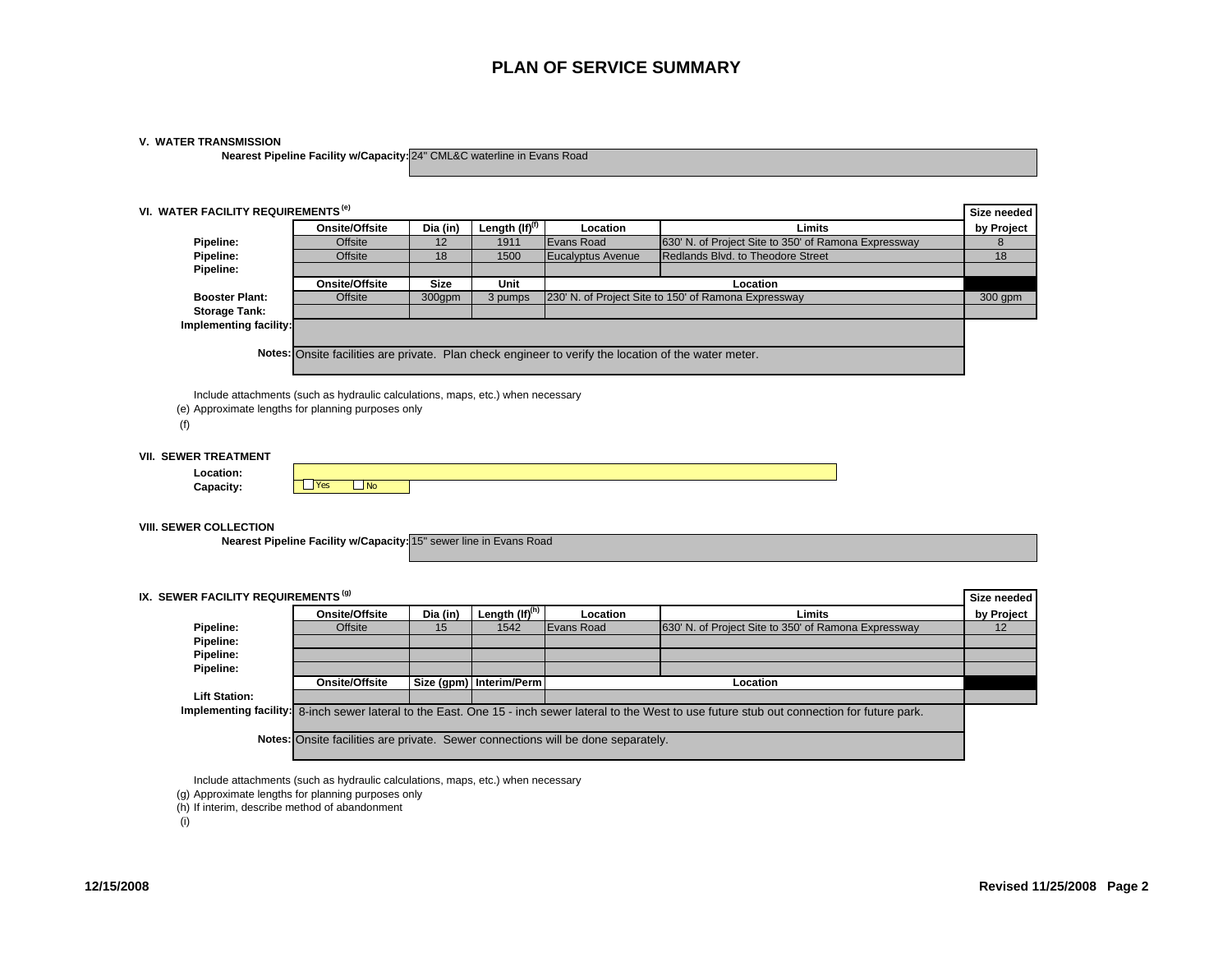## **V. WATER TRANSMISSION**

**Nearest Pipeline Facility w/Capacity:** 24" CML&C waterline in Evans Road

|                                                                                              | VI. WATER FACILITY REQUIREMENTS <sup>(e)</sup>                                   |             |                                    |                          |                                                                                                                              | Size needed |
|----------------------------------------------------------------------------------------------|----------------------------------------------------------------------------------|-------------|------------------------------------|--------------------------|------------------------------------------------------------------------------------------------------------------------------|-------------|
|                                                                                              | Onsite/Offsite                                                                   | Dia (in)    | Length $($ If $)$ <sup>(f)</sup>   | Location                 | Limits                                                                                                                       | by Project  |
| Pipeline:                                                                                    | Offsite                                                                          | 12          | 1911                               | Evans Road               | 630' N. of Project Site to 350' of Ramona Expressway                                                                         | 8           |
| Pipeline:                                                                                    | Offsite                                                                          | 18          | 1500                               | <b>Eucalyptus Avenue</b> | Redlands Blvd. to Theodore Street                                                                                            | 18          |
| Pipeline:                                                                                    |                                                                                  |             |                                    |                          |                                                                                                                              |             |
|                                                                                              | <b>Onsite/Offsite</b>                                                            | <b>Size</b> | Unit                               |                          | Location                                                                                                                     |             |
| <b>Booster Plant:</b>                                                                        | <b>Offsite</b>                                                                   | 300gpm      | 3 pumps                            |                          | 230' N. of Project Site to 150' of Ramona Expressway                                                                         | 300 gpm     |
| <b>Storage Tank:</b>                                                                         |                                                                                  |             |                                    |                          |                                                                                                                              |             |
| Implementing facility:                                                                       |                                                                                  |             |                                    |                          |                                                                                                                              |             |
|                                                                                              |                                                                                  |             |                                    |                          | Notes: Onsite facilities are private. Plan check engineer to verify the location of the water meter.                         |             |
| (e) Approximate lengths for planning purposes only<br>(f)                                    | Include attachments (such as hydraulic calculations, maps, etc.) when necessary  |             |                                    |                          |                                                                                                                              |             |
| <b>VII. SEWER TREATMENT</b>                                                                  |                                                                                  |             |                                    |                          |                                                                                                                              |             |
|                                                                                              |                                                                                  |             |                                    |                          |                                                                                                                              |             |
| Location:                                                                                    |                                                                                  |             |                                    |                          |                                                                                                                              |             |
| Capacity:                                                                                    | <b>Yes</b><br>N <sub>o</sub>                                                     |             |                                    |                          |                                                                                                                              |             |
|                                                                                              | Nearest Pipeline Facility w/Capacity: 15" sewer line in Evans Road               |             |                                    |                          |                                                                                                                              |             |
|                                                                                              |                                                                                  |             |                                    |                          |                                                                                                                              | Size needed |
|                                                                                              | Onsite/Offsite                                                                   | Dia (in)    |                                    | Location                 | Limits                                                                                                                       |             |
| Pipeline:                                                                                    | Offsite                                                                          | 15          | Length (If) <sup>(h)</sup><br>1542 | Evans Road               | 630' N. of Project Site to 350' of Ramona Expressway                                                                         | 12          |
| Pipeline:                                                                                    |                                                                                  |             |                                    |                          |                                                                                                                              |             |
| <b>VIII. SEWER COLLECTION</b><br>IX. SEWER FACILITY REQUIREMENTS <sup>(9)</sup><br>Pipeline: |                                                                                  |             |                                    |                          |                                                                                                                              |             |
| Pipeline:                                                                                    |                                                                                  |             |                                    |                          |                                                                                                                              |             |
|                                                                                              | <b>Onsite/Offsite</b>                                                            |             | Size (gpm) Interim/Perm            |                          | Location                                                                                                                     |             |
| <b>Lift Station:</b>                                                                         |                                                                                  |             |                                    |                          |                                                                                                                              |             |
| Implementing facility:                                                                       |                                                                                  |             |                                    |                          | 8-inch sewer lateral to the East. One 15 - inch sewer lateral to the West to use future stub out connection for future park. |             |
|                                                                                              | Notes: Onsite facilities are private. Sewer connections will be done separately. |             |                                    |                          |                                                                                                                              | by Project  |

Include attachments (such as hydraulic calculations, maps, etc.) when necessary

- (g) Approximate lengths for planning purposes only
- (h) If interim, describe method of abandonment

(i)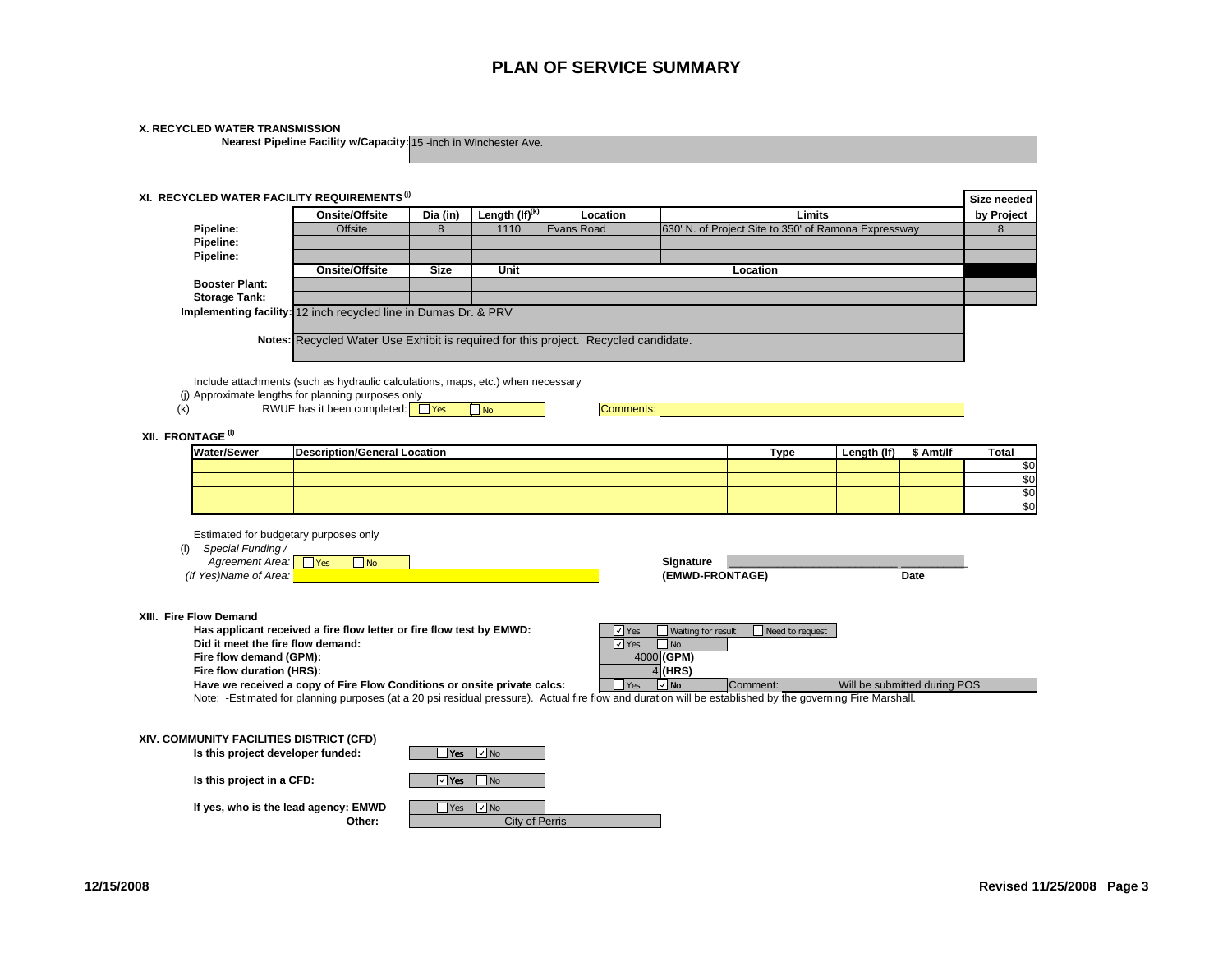| X. RECYCLED WATER TRANSMISSION                                  |                                                                                                          |                |                             |                                                                                                                                                           |                              |                        |                              |             |                     |  |  |
|-----------------------------------------------------------------|----------------------------------------------------------------------------------------------------------|----------------|-----------------------------|-----------------------------------------------------------------------------------------------------------------------------------------------------------|------------------------------|------------------------|------------------------------|-------------|---------------------|--|--|
|                                                                 | Nearest Pipeline Facility w/Capacity: 15 -inch in Winchester Ave.                                        |                |                             |                                                                                                                                                           |                              |                        |                              |             |                     |  |  |
|                                                                 |                                                                                                          |                |                             |                                                                                                                                                           |                              |                        |                              |             |                     |  |  |
|                                                                 |                                                                                                          |                |                             |                                                                                                                                                           |                              |                        |                              |             |                     |  |  |
| XI. RECYCLED WATER FACILITY REQUIREMENTS (i)                    |                                                                                                          |                |                             |                                                                                                                                                           |                              |                        |                              |             | Size needed         |  |  |
|                                                                 | <b>Onsite/Offsite</b>                                                                                    | Dia (in)       | Length $(H)$ <sup>(k)</sup> | Location                                                                                                                                                  |                              | Limits                 |                              |             | by Project          |  |  |
| Pipeline:                                                       | 630' N. of Project Site to 350' of Ramona Expressway<br><b>Offsite</b><br>8<br>1110<br><b>Evans Road</b> |                |                             |                                                                                                                                                           |                              |                        |                              |             |                     |  |  |
| Pipeline:                                                       |                                                                                                          |                |                             |                                                                                                                                                           |                              |                        |                              |             | 8                   |  |  |
| Pipeline:                                                       |                                                                                                          |                |                             |                                                                                                                                                           |                              |                        |                              |             |                     |  |  |
|                                                                 | Onsite/Offsite                                                                                           | <b>Size</b>    | Unit                        |                                                                                                                                                           |                              | Location               |                              |             |                     |  |  |
| <b>Booster Plant:</b>                                           |                                                                                                          |                |                             |                                                                                                                                                           |                              |                        |                              |             |                     |  |  |
| <b>Storage Tank:</b>                                            |                                                                                                          |                |                             |                                                                                                                                                           |                              |                        |                              |             |                     |  |  |
| Implementing facility: 12 inch recycled line in Dumas Dr. & PRV |                                                                                                          |                |                             |                                                                                                                                                           |                              |                        |                              |             |                     |  |  |
|                                                                 |                                                                                                          |                |                             | Notes: Recycled Water Use Exhibit is required for this project. Recycled candidate.                                                                       |                              |                        |                              |             |                     |  |  |
|                                                                 |                                                                                                          |                |                             |                                                                                                                                                           |                              |                        |                              |             |                     |  |  |
|                                                                 |                                                                                                          |                |                             |                                                                                                                                                           |                              |                        |                              |             |                     |  |  |
|                                                                 | Include attachments (such as hydraulic calculations, maps, etc.) when necessary                          |                |                             |                                                                                                                                                           |                              |                        |                              |             |                     |  |  |
| (i) Approximate lengths for planning purposes only              |                                                                                                          |                |                             |                                                                                                                                                           |                              |                        |                              |             |                     |  |  |
| (k)                                                             | RWUE has it been completed: $\Box$ Yes                                                                   |                | $\n  Two\n$                 | <b>Comments:</b>                                                                                                                                          |                              |                        |                              |             |                     |  |  |
|                                                                 |                                                                                                          |                |                             |                                                                                                                                                           |                              |                        |                              |             |                     |  |  |
| XII. FRONTAGE <sup>(I)</sup>                                    |                                                                                                          |                |                             |                                                                                                                                                           |                              |                        |                              |             |                     |  |  |
| <b>Water/Sewer</b>                                              | <b>Description/General Location</b>                                                                      |                |                             |                                                                                                                                                           |                              | <b>Type</b>            | Length (If)                  | \$ Amt/lf   | <b>Total</b><br>\$0 |  |  |
|                                                                 |                                                                                                          |                |                             |                                                                                                                                                           |                              |                        |                              |             |                     |  |  |
|                                                                 |                                                                                                          |                |                             |                                                                                                                                                           |                              |                        |                              |             | \$0<br>\$0          |  |  |
|                                                                 |                                                                                                          |                |                             |                                                                                                                                                           |                              |                        |                              |             |                     |  |  |
|                                                                 |                                                                                                          |                |                             |                                                                                                                                                           |                              |                        |                              |             |                     |  |  |
| Estimated for budgetary purposes only                           |                                                                                                          |                |                             |                                                                                                                                                           |                              |                        |                              |             |                     |  |  |
| Special Funding /<br>(1)                                        |                                                                                                          |                |                             |                                                                                                                                                           |                              |                        |                              |             |                     |  |  |
| Agreement Area: Fes<br>(If Yes)Name of Area:                    | $\Box$ No                                                                                                |                |                             |                                                                                                                                                           | Signature<br>(EMWD-FRONTAGE) |                        |                              | <b>Date</b> |                     |  |  |
|                                                                 |                                                                                                          |                |                             |                                                                                                                                                           |                              |                        |                              |             |                     |  |  |
|                                                                 |                                                                                                          |                |                             |                                                                                                                                                           |                              |                        |                              |             |                     |  |  |
| XIII. Fire Flow Demand                                          |                                                                                                          |                |                             |                                                                                                                                                           |                              |                        |                              |             |                     |  |  |
|                                                                 | Has applicant received a fire flow letter or fire flow test by EMWD:                                     |                |                             | $\sqrt{}$ Yes                                                                                                                                             | Waiting for result           | $\Box$ Need to request |                              |             |                     |  |  |
| Did it meet the fire flow demand:                               |                                                                                                          |                |                             | $\Box$ Yes                                                                                                                                                | $\Box$ No                    |                        |                              |             |                     |  |  |
| Fire flow demand (GPM):                                         |                                                                                                          |                |                             |                                                                                                                                                           | 4000 (GPM)                   |                        |                              |             |                     |  |  |
| Fire flow duration (HRS):                                       | Have we received a copy of Fire Flow Conditions or onsite private calcs:                                 |                |                             | $\bigcap$ Yes                                                                                                                                             | $4$ (HRS)<br>⊡ங              | Comment:               | Will be submitted during POS |             |                     |  |  |
|                                                                 |                                                                                                          |                |                             | Note: -Estimated for planning purposes (at a 20 psi residual pressure). Actual fire flow and duration will be established by the governing Fire Marshall. |                              |                        |                              |             |                     |  |  |
|                                                                 |                                                                                                          |                |                             |                                                                                                                                                           |                              |                        |                              |             |                     |  |  |
|                                                                 |                                                                                                          |                |                             |                                                                                                                                                           |                              |                        |                              |             |                     |  |  |
| XIV. COMMUNITY FACILITIES DISTRICT (CFD)                        |                                                                                                          |                |                             |                                                                                                                                                           |                              |                        |                              |             |                     |  |  |
| Is this project developer funded:                               |                                                                                                          | $\mathsf{Yes}$ | $\Box$ No                   |                                                                                                                                                           |                              |                        |                              |             |                     |  |  |
| Is this project in a CFD:                                       |                                                                                                          | $\sqrt{ }$ Yes | $\Box$ No                   |                                                                                                                                                           |                              |                        |                              |             |                     |  |  |
|                                                                 |                                                                                                          |                |                             |                                                                                                                                                           |                              |                        |                              |             |                     |  |  |
| If yes, who is the lead agency: EMWD                            | Other:                                                                                                   | Yes            | $\Box$ No<br>City of Perris |                                                                                                                                                           |                              |                        |                              |             |                     |  |  |
|                                                                 |                                                                                                          |                |                             |                                                                                                                                                           |                              |                        |                              |             |                     |  |  |